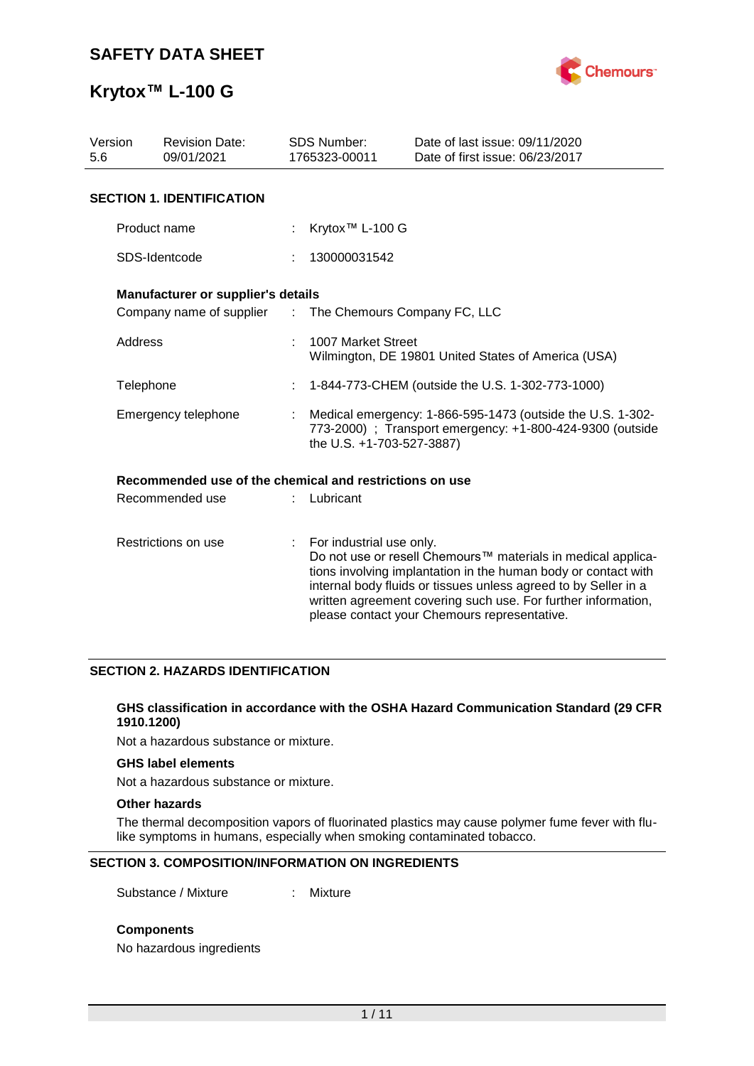

### **Krytox™ L-100 G**

| Version<br><b>Revision Date:</b><br>5.6<br>09/01/2021 |                                                         | <b>SDS Number:</b><br>1765323-00011                                                                                                                  | Date of last issue: 09/11/2020<br>Date of first issue: 06/23/2017                                                                                                                                                                                                                                                  |  |  |  |  |
|-------------------------------------------------------|---------------------------------------------------------|------------------------------------------------------------------------------------------------------------------------------------------------------|--------------------------------------------------------------------------------------------------------------------------------------------------------------------------------------------------------------------------------------------------------------------------------------------------------------------|--|--|--|--|
|                                                       | <b>SECTION 1. IDENTIFICATION</b>                        |                                                                                                                                                      |                                                                                                                                                                                                                                                                                                                    |  |  |  |  |
|                                                       | Product name                                            | Krytox <sup>™</sup> L-100 G                                                                                                                          |                                                                                                                                                                                                                                                                                                                    |  |  |  |  |
|                                                       | SDS-Identcode                                           | 130000031542                                                                                                                                         |                                                                                                                                                                                                                                                                                                                    |  |  |  |  |
|                                                       | Manufacturer or supplier's details                      |                                                                                                                                                      |                                                                                                                                                                                                                                                                                                                    |  |  |  |  |
|                                                       | Company name of supplier : The Chemours Company FC, LLC |                                                                                                                                                      |                                                                                                                                                                                                                                                                                                                    |  |  |  |  |
| Address                                               |                                                         | 1007 Market Street<br>Wilmington, DE 19801 United States of America (USA)                                                                            |                                                                                                                                                                                                                                                                                                                    |  |  |  |  |
| Telephone                                             |                                                         | 1-844-773-CHEM (outside the U.S. 1-302-773-1000)                                                                                                     |                                                                                                                                                                                                                                                                                                                    |  |  |  |  |
| Emergency telephone                                   |                                                         | Medical emergency: 1-866-595-1473 (outside the U.S. 1-302-<br>773-2000) ; Transport emergency: +1-800-424-9300 (outside<br>the U.S. +1-703-527-3887) |                                                                                                                                                                                                                                                                                                                    |  |  |  |  |
|                                                       | Recommended use of the chemical and restrictions on use |                                                                                                                                                      |                                                                                                                                                                                                                                                                                                                    |  |  |  |  |
| Recommended use                                       |                                                         | Lubricant                                                                                                                                            |                                                                                                                                                                                                                                                                                                                    |  |  |  |  |
| Restrictions on use                                   |                                                         | For industrial use only.                                                                                                                             | Do not use or resell Chemours™ materials in medical applica-<br>tions involving implantation in the human body or contact with<br>internal body fluids or tissues unless agreed to by Seller in a<br>written agreement covering such use. For further information,<br>please contact your Chemours representative. |  |  |  |  |

#### **SECTION 2. HAZARDS IDENTIFICATION**

#### **GHS classification in accordance with the OSHA Hazard Communication Standard (29 CFR 1910.1200)**

Not a hazardous substance or mixture.

#### **GHS label elements**

Not a hazardous substance or mixture.

#### **Other hazards**

The thermal decomposition vapors of fluorinated plastics may cause polymer fume fever with flulike symptoms in humans, especially when smoking contaminated tobacco.

#### **SECTION 3. COMPOSITION/INFORMATION ON INGREDIENTS**

Substance / Mixture : Mixture

#### **Components**

No hazardous ingredients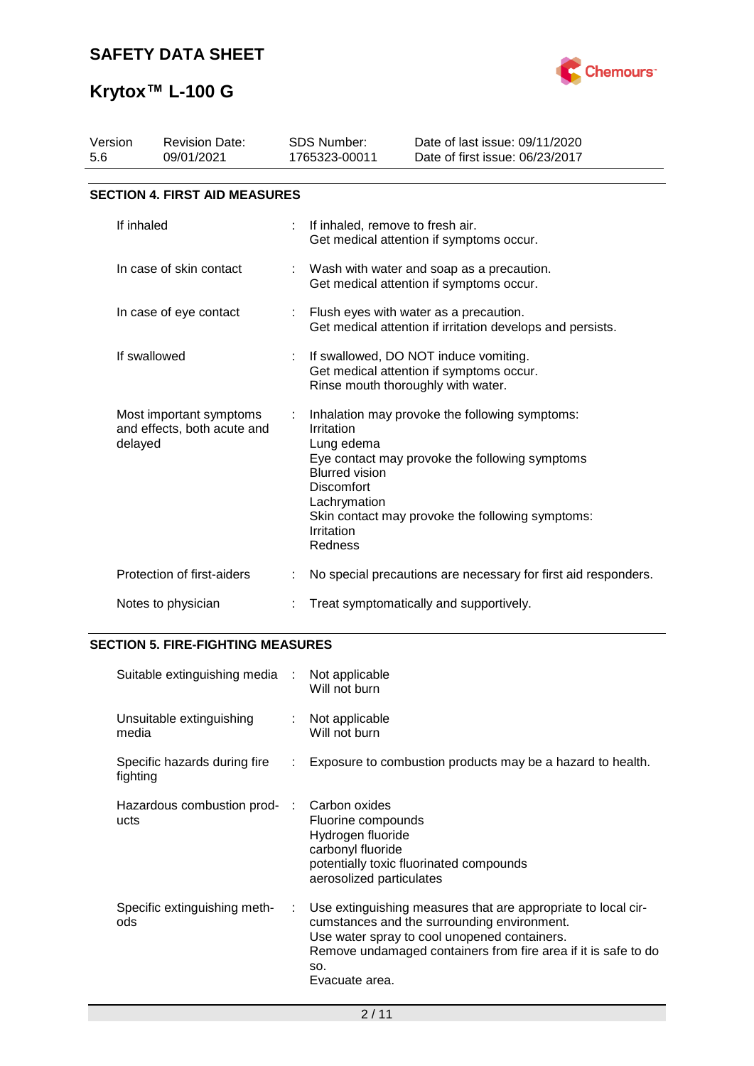

| Version<br>5.6                                                    | <b>Revision Date:</b><br>09/01/2021  |   | <b>SDS Number:</b><br>1765323-00011                                                                                                                                                                                                                                     | Date of last issue: 09/11/2020<br>Date of first issue: 06/23/2017                     |  |  |  |  |
|-------------------------------------------------------------------|--------------------------------------|---|-------------------------------------------------------------------------------------------------------------------------------------------------------------------------------------------------------------------------------------------------------------------------|---------------------------------------------------------------------------------------|--|--|--|--|
|                                                                   | <b>SECTION 4. FIRST AID MEASURES</b> |   |                                                                                                                                                                                                                                                                         |                                                                                       |  |  |  |  |
| If inhaled                                                        |                                      | ÷ | If inhaled, remove to fresh air.                                                                                                                                                                                                                                        | Get medical attention if symptoms occur.                                              |  |  |  |  |
|                                                                   | In case of skin contact              |   |                                                                                                                                                                                                                                                                         | Wash with water and soap as a precaution.<br>Get medical attention if symptoms occur. |  |  |  |  |
| In case of eye contact                                            |                                      |   | Flush eyes with water as a precaution.<br>Get medical attention if irritation develops and persists.                                                                                                                                                                    |                                                                                       |  |  |  |  |
| If swallowed                                                      |                                      |   | If swallowed, DO NOT induce vomiting.<br>Get medical attention if symptoms occur.<br>Rinse mouth thoroughly with water.                                                                                                                                                 |                                                                                       |  |  |  |  |
| Most important symptoms<br>and effects, both acute and<br>delayed |                                      |   | Inhalation may provoke the following symptoms:<br>Irritation<br>Lung edema<br>Eye contact may provoke the following symptoms<br><b>Blurred vision</b><br><b>Discomfort</b><br>Lachrymation<br>Skin contact may provoke the following symptoms:<br>Irritation<br>Redness |                                                                                       |  |  |  |  |
|                                                                   | Protection of first-aiders           |   | No special precautions are necessary for first aid responders.                                                                                                                                                                                                          |                                                                                       |  |  |  |  |
| Notes to physician                                                |                                      |   | Treat symptomatically and supportively.                                                                                                                                                                                                                                 |                                                                                       |  |  |  |  |

### **SECTION 5. FIRE-FIGHTING MEASURES**

| Suitable extinguishing media :           |                               | Not applicable<br>Will not burn                                                                                                                                                                                                                         |
|------------------------------------------|-------------------------------|---------------------------------------------------------------------------------------------------------------------------------------------------------------------------------------------------------------------------------------------------------|
| Unsuitable extinguishing<br>media        | t.                            | Not applicable<br>Will not burn                                                                                                                                                                                                                         |
| Specific hazards during fire<br>fighting | $\mathcal{I}^{\mathcal{I}}$ . | Exposure to combustion products may be a hazard to health.                                                                                                                                                                                              |
| Hazardous combustion prod- :<br>ucts     |                               | Carbon oxides<br>Fluorine compounds<br>Hydrogen fluoride<br>carbonyl fluoride<br>potentially toxic fluorinated compounds<br>aerosolized particulates                                                                                                    |
| Specific extinguishing meth-<br>ods      | ÷                             | Use extinguishing measures that are appropriate to local cir-<br>cumstances and the surrounding environment.<br>Use water spray to cool unopened containers.<br>Remove undamaged containers from fire area if it is safe to do<br>SO.<br>Evacuate area. |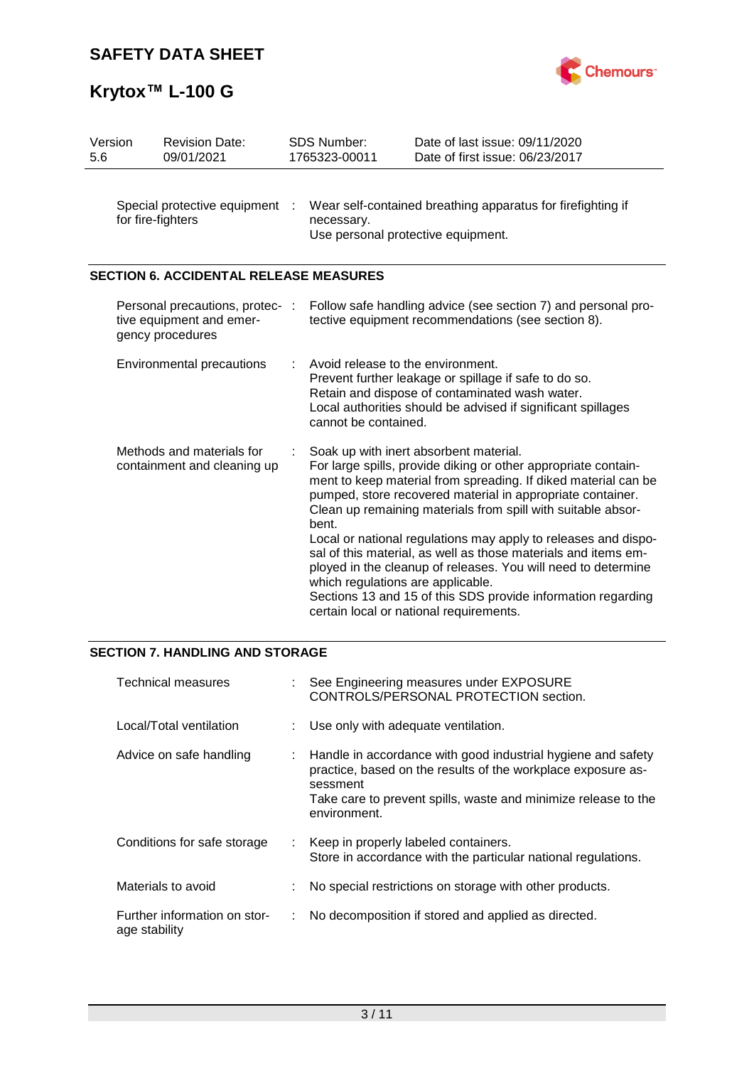



| Version<br>5.6 |                                                     | <b>Revision Date:</b><br>09/01/2021                                           |     | <b>SDS Number:</b><br>1765323-00011                                                                                                                                                                                                                                                                                                                                                                                                                                                                                                                                                                                                                                    | Date of last issue: 09/11/2020<br>Date of first issue: 06/23/2017                                                   |  |
|----------------|-----------------------------------------------------|-------------------------------------------------------------------------------|-----|------------------------------------------------------------------------------------------------------------------------------------------------------------------------------------------------------------------------------------------------------------------------------------------------------------------------------------------------------------------------------------------------------------------------------------------------------------------------------------------------------------------------------------------------------------------------------------------------------------------------------------------------------------------------|---------------------------------------------------------------------------------------------------------------------|--|
|                | Special protective equipment :<br>for fire-fighters |                                                                               |     | Wear self-contained breathing apparatus for firefighting if<br>necessary.<br>Use personal protective equipment.                                                                                                                                                                                                                                                                                                                                                                                                                                                                                                                                                        |                                                                                                                     |  |
|                |                                                     | <b>SECTION 6. ACCIDENTAL RELEASE MEASURES</b>                                 |     |                                                                                                                                                                                                                                                                                                                                                                                                                                                                                                                                                                                                                                                                        |                                                                                                                     |  |
|                |                                                     | Personal precautions, protec-<br>tive equipment and emer-<br>gency procedures | - 1 |                                                                                                                                                                                                                                                                                                                                                                                                                                                                                                                                                                                                                                                                        | Follow safe handling advice (see section 7) and personal pro-<br>tective equipment recommendations (see section 8). |  |
|                |                                                     | <b>Environmental precautions</b>                                              | ÷   | Avoid release to the environment.<br>Prevent further leakage or spillage if safe to do so.<br>Retain and dispose of contaminated wash water.<br>Local authorities should be advised if significant spillages<br>cannot be contained.                                                                                                                                                                                                                                                                                                                                                                                                                                   |                                                                                                                     |  |
|                |                                                     | Methods and materials for<br>containment and cleaning up                      |     | Soak up with inert absorbent material.<br>For large spills, provide diking or other appropriate contain-<br>ment to keep material from spreading. If diked material can be<br>pumped, store recovered material in appropriate container.<br>Clean up remaining materials from spill with suitable absor-<br>bent.<br>Local or national regulations may apply to releases and dispo-<br>sal of this material, as well as those materials and items em-<br>ployed in the cleanup of releases. You will need to determine<br>which regulations are applicable.<br>Sections 13 and 15 of this SDS provide information regarding<br>certain local or national requirements. |                                                                                                                     |  |

### **SECTION 7. HANDLING AND STORAGE**

| <b>Technical measures</b>                     |    | : See Engineering measures under EXPOSURE<br>CONTROLS/PERSONAL PROTECTION section.                                                                                                                                         |
|-----------------------------------------------|----|----------------------------------------------------------------------------------------------------------------------------------------------------------------------------------------------------------------------------|
| Local/Total ventilation                       |    | Use only with adequate ventilation.                                                                                                                                                                                        |
| Advice on safe handling                       |    | Handle in accordance with good industrial hygiene and safety<br>practice, based on the results of the workplace exposure as-<br>sessment<br>Take care to prevent spills, waste and minimize release to the<br>environment. |
| Conditions for safe storage                   |    | : Keep in properly labeled containers.<br>Store in accordance with the particular national regulations.                                                                                                                    |
| Materials to avoid                            |    | No special restrictions on storage with other products.                                                                                                                                                                    |
| Further information on stor-<br>age stability | ÷. | No decomposition if stored and applied as directed.                                                                                                                                                                        |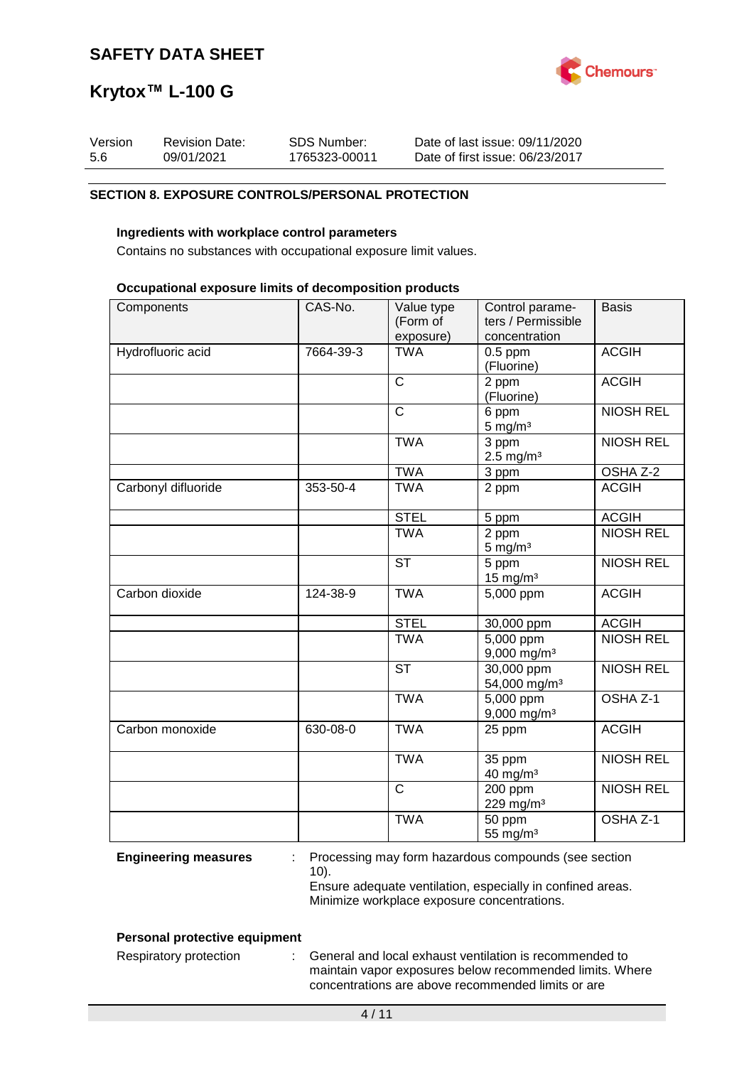

| Version | <b>Revision Date:</b> | SDS Number:   | Date of last issue: 09/11/2020  |
|---------|-----------------------|---------------|---------------------------------|
| -5.6    | 09/01/2021            | 1765323-00011 | Date of first issue: 06/23/2017 |

#### **SECTION 8. EXPOSURE CONTROLS/PERSONAL PROTECTION**

#### **Ingredients with workplace control parameters**

Contains no substances with occupational exposure limit values.

#### **Occupational exposure limits of decomposition products**

| Components          | CAS-No.   | Value type<br>(Form of<br>exposure) | Control parame-<br>ters / Permissible<br>concentration | <b>Basis</b>        |
|---------------------|-----------|-------------------------------------|--------------------------------------------------------|---------------------|
| Hydrofluoric acid   | 7664-39-3 | <b>TWA</b>                          | $0.5$ ppm<br>(Fluorine)                                | <b>ACGIH</b>        |
|                     |           | $\mathsf{C}$                        | 2 ppm<br>(Fluorine)                                    | <b>ACGIH</b>        |
|                     |           | $\overline{C}$                      | 6 ppm<br>$5 \text{ mg/m}^3$                            | <b>NIOSH REL</b>    |
|                     |           | <b>TWA</b>                          | 3 ppm<br>$2.5 \text{ mg/m}^3$                          | <b>NIOSH REL</b>    |
|                     |           | <b>TWA</b>                          | 3 ppm                                                  | OSHA Z-2            |
| Carbonyl difluoride | 353-50-4  | <b>TWA</b>                          | 2 ppm                                                  | <b>ACGIH</b>        |
|                     |           | <b>STEL</b>                         | 5 ppm                                                  | <b>ACGIH</b>        |
|                     |           | <b>TWA</b>                          | 2 ppm<br>$5 \text{ mg/m}^3$                            | <b>NIOSH REL</b>    |
|                     |           | <b>ST</b>                           | 5 ppm<br>$15$ mg/m <sup>3</sup>                        | <b>NIOSH REL</b>    |
| Carbon dioxide      | 124-38-9  | <b>TWA</b>                          | 5,000 ppm                                              | <b>ACGIH</b>        |
|                     |           | <b>STEL</b>                         | 30,000 ppm                                             | <b>ACGIH</b>        |
|                     |           | <b>TWA</b>                          | $\overline{5,000}$ ppm<br>$9,000$ mg/m <sup>3</sup>    | <b>NIOSH REL</b>    |
|                     |           | <b>ST</b>                           | $30,000$ ppm<br>54,000 mg/m <sup>3</sup>               | <b>NIOSH REL</b>    |
|                     |           | <b>TWA</b>                          | 5,000 ppm<br>$9,000$ mg/m <sup>3</sup>                 | OSHA <sub>Z-1</sub> |
| Carbon monoxide     | 630-08-0  | <b>TWA</b>                          | 25 ppm                                                 | <b>ACGIH</b>        |
|                     |           | <b>TWA</b>                          | 35 ppm<br>$40$ mg/m <sup>3</sup>                       | <b>NIOSH REL</b>    |
|                     |           | $\mathsf{C}$                        | 200 ppm<br>229 mg/m <sup>3</sup>                       | <b>NIOSH REL</b>    |
|                     |           | <b>TWA</b>                          | 50 ppm<br>55 mg/m <sup>3</sup>                         | OSHA Z-1            |

**Engineering measures** : Processing may form hazardous compounds (see section 10).

Ensure adequate ventilation, especially in confined areas. Minimize workplace exposure concentrations.

#### **Personal protective equipment**

Respiratory protection : General and local exhaust ventilation is recommended to maintain vapor exposures below recommended limits. Where concentrations are above recommended limits or are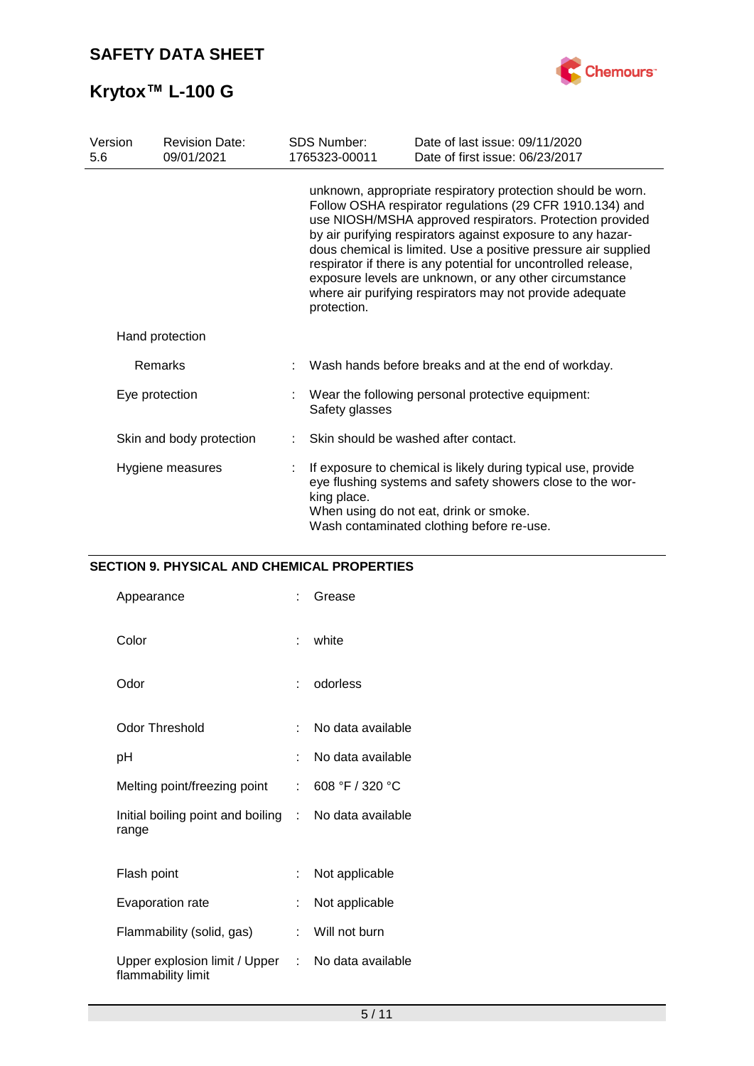

| Version<br>5.6   | <b>Revision Date:</b><br>09/01/2021 | <b>SDS Number:</b><br>1765323-00011                                                                                                                                                                                                                                                                                                                                                                                                                                                                                         | Date of last issue: 09/11/2020<br>Date of first issue: 06/23/2017 |  |  |  |
|------------------|-------------------------------------|-----------------------------------------------------------------------------------------------------------------------------------------------------------------------------------------------------------------------------------------------------------------------------------------------------------------------------------------------------------------------------------------------------------------------------------------------------------------------------------------------------------------------------|-------------------------------------------------------------------|--|--|--|
|                  |                                     | unknown, appropriate respiratory protection should be worn.<br>Follow OSHA respirator regulations (29 CFR 1910.134) and<br>use NIOSH/MSHA approved respirators. Protection provided<br>by air purifying respirators against exposure to any hazar-<br>dous chemical is limited. Use a positive pressure air supplied<br>respirator if there is any potential for uncontrolled release,<br>exposure levels are unknown, or any other circumstance<br>where air purifying respirators may not provide adequate<br>protection. |                                                                   |  |  |  |
|                  | Hand protection                     |                                                                                                                                                                                                                                                                                                                                                                                                                                                                                                                             |                                                                   |  |  |  |
|                  | <b>Remarks</b>                      |                                                                                                                                                                                                                                                                                                                                                                                                                                                                                                                             | Wash hands before breaks and at the end of workday.               |  |  |  |
| Eye protection   |                                     | Safety glasses                                                                                                                                                                                                                                                                                                                                                                                                                                                                                                              | Wear the following personal protective equipment:                 |  |  |  |
|                  | Skin and body protection            |                                                                                                                                                                                                                                                                                                                                                                                                                                                                                                                             | Skin should be washed after contact.                              |  |  |  |
| Hygiene measures |                                     | If exposure to chemical is likely during typical use, provide<br>eye flushing systems and safety showers close to the wor-<br>king place.<br>When using do not eat, drink or smoke.<br>Wash contaminated clothing before re-use.                                                                                                                                                                                                                                                                                            |                                                                   |  |  |  |

### **SECTION 9. PHYSICAL AND CHEMICAL PROPERTIES**

| Appearance                                                     |    | Grease            |
|----------------------------------------------------------------|----|-------------------|
| Color                                                          |    | white             |
| Odor                                                           |    | odorless          |
| <b>Odor Threshold</b>                                          |    | No data available |
| рH                                                             |    | No data available |
| Melting point/freezing point                                   | t. | 608 °F / 320 °C   |
| Initial boiling point and boiling : No data available<br>range |    |                   |
| Flash point                                                    | ÷. | Not applicable    |
| Evaporation rate                                               |    | Not applicable    |
| Flammability (solid, gas)                                      | t. | Will not burn     |
| Upper explosion limit / Upper<br>flammability limit            | t. | No data available |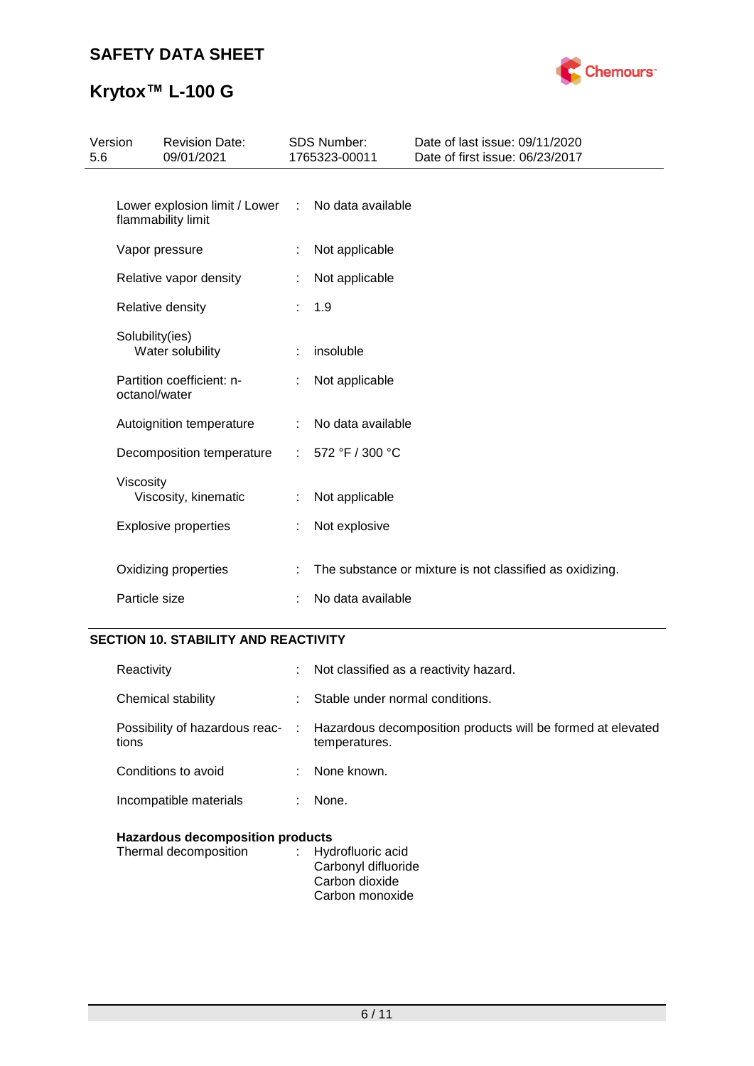

# **Krytox™ L-100 G**

| Version<br>5.6 |                      | <b>Revision Date:</b><br>09/01/2021                 |           | <b>SDS Number:</b><br>1765323-00011 | Date of last issue: 09/11/2020<br>Date of first issue: 06/23/2017 |
|----------------|----------------------|-----------------------------------------------------|-----------|-------------------------------------|-------------------------------------------------------------------|
|                |                      | Lower explosion limit / Lower<br>flammability limit | $\sim 10$ | No data available                   |                                                                   |
|                |                      | Vapor pressure                                      |           | Not applicable                      |                                                                   |
|                |                      | Relative vapor density                              | ÷         | Not applicable                      |                                                                   |
|                |                      | Relative density                                    |           | 1.9                                 |                                                                   |
|                | Solubility(ies)      | Water solubility                                    |           | insoluble                           |                                                                   |
|                | octanol/water        | Partition coefficient: n-                           |           | Not applicable                      |                                                                   |
|                |                      | Autoignition temperature                            |           | No data available                   |                                                                   |
|                |                      | Decomposition temperature                           | ÷.        | 572 °F / 300 °C                     |                                                                   |
|                | Viscosity            | Viscosity, kinematic                                |           | Not applicable                      |                                                                   |
|                |                      | <b>Explosive properties</b>                         | ÷         | Not explosive                       |                                                                   |
|                | Oxidizing properties |                                                     |           |                                     | The substance or mixture is not classified as oxidizing.          |
|                | Particle size        |                                                     |           | No data available                   |                                                                   |

### **SECTION 10. STABILITY AND REACTIVITY**

| Reactivity                              |     | Not classified as a reactivity hazard.                                       |
|-----------------------------------------|-----|------------------------------------------------------------------------------|
| Chemical stability                      |     | Stable under normal conditions.                                              |
| Possibility of hazardous reac-<br>tions | -11 | Hazardous decomposition products will be formed at elevated<br>temperatures. |
| Conditions to avoid                     |     | None known.                                                                  |
| Incompatible materials                  |     | None.                                                                        |
|                                         |     |                                                                              |

### **Hazardous decomposition products**

| Thermal decomposition | : Hydrofluoric acid |
|-----------------------|---------------------|
|                       | Carbonyl difluoride |
|                       | Carbon dioxide      |
|                       | Carbon monoxide     |
|                       |                     |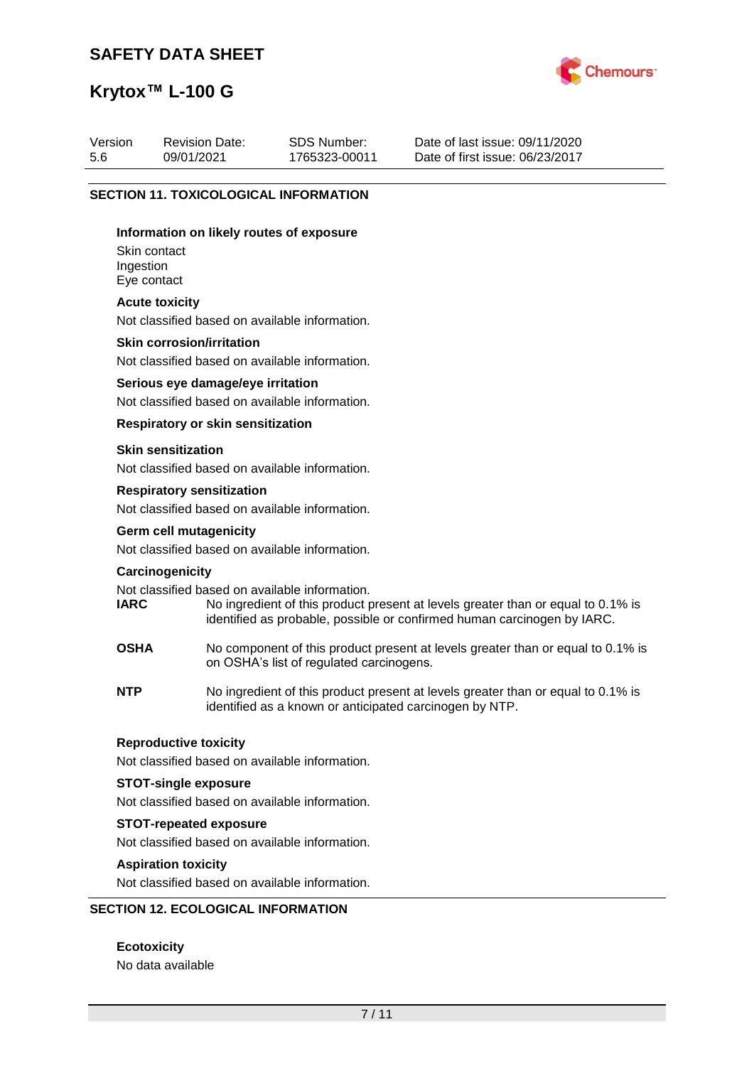

## **Krytox™ L-100 G**

| Version | <b>Revision Date:</b> | SDS Number:   | Date of last issue: 09/11/2020  |
|---------|-----------------------|---------------|---------------------------------|
| 5.6     | 09/01/2021            | 1765323-00011 | Date of first issue: 06/23/2017 |
|         |                       |               |                                 |

#### **SECTION 11. TOXICOLOGICAL INFORMATION**

#### **Information on likely routes of exposure**

Skin contact Ingestion Eye contact

#### **Acute toxicity**

Not classified based on available information.

#### **Skin corrosion/irritation**

Not classified based on available information.

#### **Serious eye damage/eye irritation**

Not classified based on available information.

#### **Respiratory or skin sensitization**

#### **Skin sensitization**

Not classified based on available information.

#### **Respiratory sensitization**

Not classified based on available information.

# **Germ cell mutagenicity**

Not classified based on available information.

#### **Carcinogenicity**

Not classified based on available information.<br> **IARC** No ingredient of this product to

- No ingredient of this product present at levels greater than or equal to 0.1% is identified as probable, possible or confirmed human carcinogen by IARC.
- **OSHA** No component of this product present at levels greater than or equal to 0.1% is on OSHA's list of regulated carcinogens.
- **NTP** No ingredient of this product present at levels greater than or equal to 0.1% is identified as a known or anticipated carcinogen by NTP.

#### **Reproductive toxicity**

Not classified based on available information.

#### **STOT-single exposure**

Not classified based on available information.

#### **STOT-repeated exposure**

Not classified based on available information.

#### **Aspiration toxicity**

Not classified based on available information.

#### **SECTION 12. ECOLOGICAL INFORMATION**

**Ecotoxicity** No data available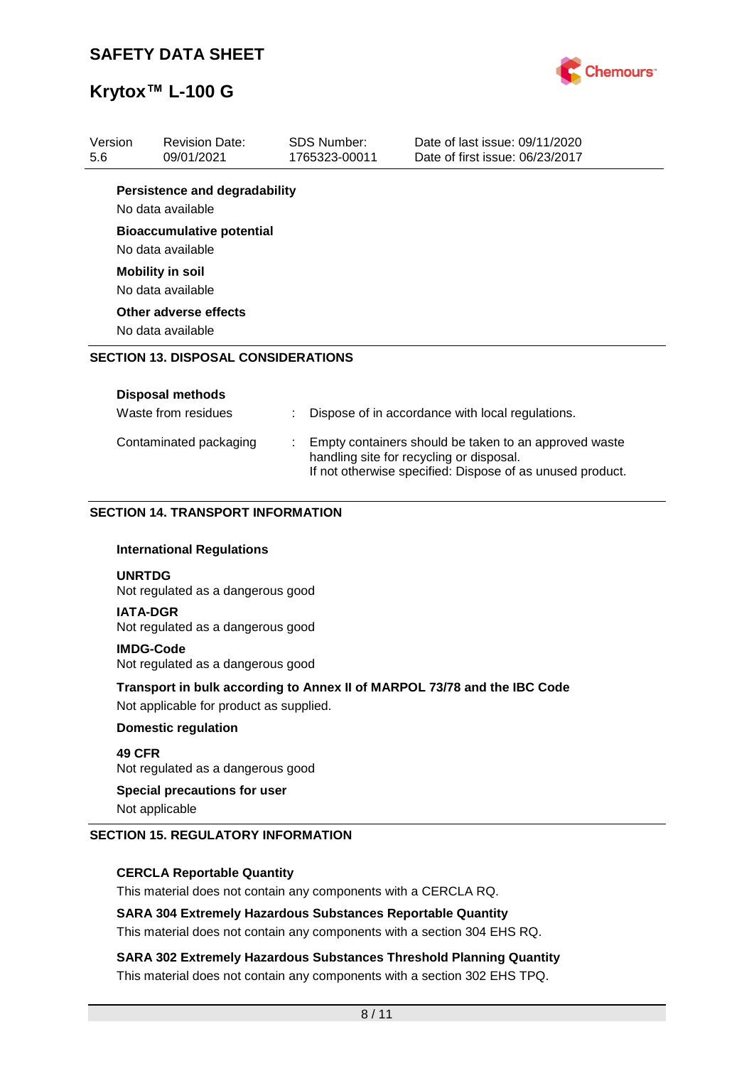

| Version<br>5.6 | <b>Revision Date:</b><br>09/01/2021                                                                                 |  | <b>SDS Number:</b><br>1765323-00011                                                                                                                            | Date of last issue: 09/11/2020<br>Date of first issue: 06/23/2017 |  |  |  |
|----------------|---------------------------------------------------------------------------------------------------------------------|--|----------------------------------------------------------------------------------------------------------------------------------------------------------------|-------------------------------------------------------------------|--|--|--|
|                | <b>Persistence and degradability</b><br>No data available                                                           |  |                                                                                                                                                                |                                                                   |  |  |  |
|                | <b>Bioaccumulative potential</b><br>No data available                                                               |  |                                                                                                                                                                |                                                                   |  |  |  |
|                | <b>Mobility in soil</b><br>No data available                                                                        |  |                                                                                                                                                                |                                                                   |  |  |  |
|                | Other adverse effects<br>No data available                                                                          |  |                                                                                                                                                                |                                                                   |  |  |  |
|                | <b>SECTION 13. DISPOSAL CONSIDERATIONS</b>                                                                          |  |                                                                                                                                                                |                                                                   |  |  |  |
|                | <b>Disposal methods</b><br>Waste from residues                                                                      |  |                                                                                                                                                                | Dispose of in accordance with local regulations.                  |  |  |  |
|                | Contaminated packaging                                                                                              |  | Empty containers should be taken to an approved waste<br>handling site for recycling or disposal.<br>If not otherwise specified: Dispose of as unused product. |                                                                   |  |  |  |
|                | <b>SECTION 14. TRANSPORT INFORMATION</b>                                                                            |  |                                                                                                                                                                |                                                                   |  |  |  |
|                | <b>International Regulations</b>                                                                                    |  |                                                                                                                                                                |                                                                   |  |  |  |
|                | <b>UNRTDG</b><br>Not regulated as a dangerous good                                                                  |  |                                                                                                                                                                |                                                                   |  |  |  |
|                | <b>IATA-DGR</b><br>Not regulated as a dangerous good                                                                |  |                                                                                                                                                                |                                                                   |  |  |  |
|                | <b>IMDG-Code</b><br>Not regulated as a dangerous good                                                               |  |                                                                                                                                                                |                                                                   |  |  |  |
|                | Transport in bulk according to Annex II of MARPOL 73/78 and the IBC Code<br>Not applicable for product as supplied. |  |                                                                                                                                                                |                                                                   |  |  |  |
|                | <b>Domestic regulation</b>                                                                                          |  |                                                                                                                                                                |                                                                   |  |  |  |
| 49 CFR         | Not regulated as a dangerous good                                                                                   |  |                                                                                                                                                                |                                                                   |  |  |  |
|                | <b>Special precautions for user</b><br>Not applicable                                                               |  |                                                                                                                                                                |                                                                   |  |  |  |
|                | <b>SECTION 15. REGULATORY INFORMATION</b>                                                                           |  |                                                                                                                                                                |                                                                   |  |  |  |

#### **CERCLA Reportable Quantity**

This material does not contain any components with a CERCLA RQ.

#### **SARA 304 Extremely Hazardous Substances Reportable Quantity**

This material does not contain any components with a section 304 EHS RQ.

**SARA 302 Extremely Hazardous Substances Threshold Planning Quantity** This material does not contain any components with a section 302 EHS TPQ.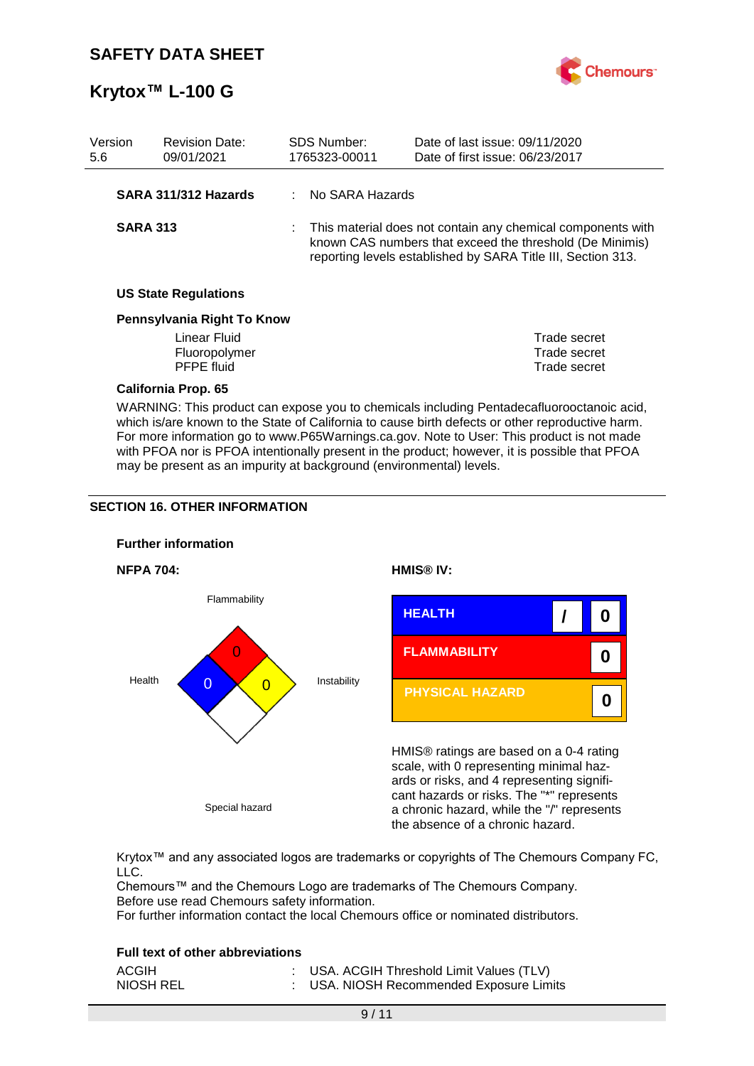

| Version<br>5.6                                                                                                                                                                                                                                                                                                                                                                              |                 | <b>Revision Date:</b><br>09/01/2021 |  | <b>SDS Number:</b><br>1765323-00011 | Date of last issue: 09/11/2020<br>Date of first issue: 06/23/2017                                                                                                                       |  |
|---------------------------------------------------------------------------------------------------------------------------------------------------------------------------------------------------------------------------------------------------------------------------------------------------------------------------------------------------------------------------------------------|-----------------|-------------------------------------|--|-------------------------------------|-----------------------------------------------------------------------------------------------------------------------------------------------------------------------------------------|--|
|                                                                                                                                                                                                                                                                                                                                                                                             |                 | SARA 311/312 Hazards                |  | : No SARA Hazards                   |                                                                                                                                                                                         |  |
|                                                                                                                                                                                                                                                                                                                                                                                             | <b>SARA 313</b> |                                     |  |                                     | This material does not contain any chemical components with<br>known CAS numbers that exceed the threshold (De Minimis)<br>reporting levels established by SARA Title III, Section 313. |  |
|                                                                                                                                                                                                                                                                                                                                                                                             |                 | <b>US State Regulations</b>         |  |                                     |                                                                                                                                                                                         |  |
| Pennsylvania Right To Know                                                                                                                                                                                                                                                                                                                                                                  |                 |                                     |  |                                     |                                                                                                                                                                                         |  |
|                                                                                                                                                                                                                                                                                                                                                                                             |                 | Linear Fluid                        |  |                                     | Trade secret                                                                                                                                                                            |  |
|                                                                                                                                                                                                                                                                                                                                                                                             |                 | Fluoropolymer                       |  |                                     | Trade secret                                                                                                                                                                            |  |
|                                                                                                                                                                                                                                                                                                                                                                                             |                 | <b>PFPE fluid</b>                   |  |                                     | Trade secret                                                                                                                                                                            |  |
|                                                                                                                                                                                                                                                                                                                                                                                             |                 | <b>California Prop. 65</b>          |  |                                     |                                                                                                                                                                                         |  |
| WARNING: This product can expose you to chemicals including Pentadecafluorooctanoic acid,<br>which is/are known to the State of California to cause birth defects or other reproductive harm.<br>For more information go to www.P65Warnings.ca.gov. Note to User: This product is not made<br>with PFOA nor is PFOA intentionally present in the product; however, it is possible that PFOA |                 |                                     |  |                                     |                                                                                                                                                                                         |  |

may be present as an impurity at background (environmental) levels.

#### **SECTION 16. OTHER INFORMATION**



Krytox™ and any associated logos are trademarks or copyrights of The Chemours Company FC, LLC.

Chemours™ and the Chemours Logo are trademarks of The Chemours Company. Before use read Chemours safety information.

For further information contact the local Chemours office or nominated distributors.

#### **Full text of other abbreviations**

| ACGIH     | : USA. ACGIH Threshold Limit Values (TLV) |
|-----------|-------------------------------------------|
| NIOSH REL | : USA. NIOSH Recommended Exposure Limits  |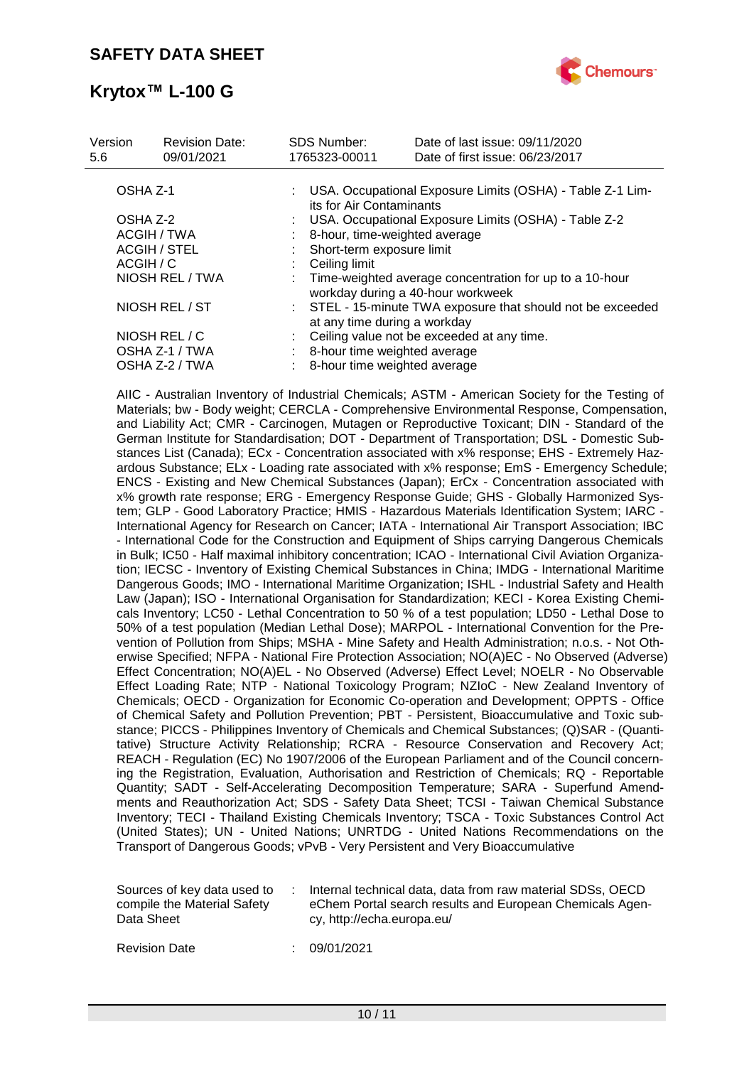

| Version<br>5.6 | <b>Revision Date:</b><br>09/01/2021 | <b>SDS Number:</b><br>1765323-00011 | Date of last issue: 09/11/2020<br>Date of first issue: 06/23/2017                            |
|----------------|-------------------------------------|-------------------------------------|----------------------------------------------------------------------------------------------|
| OSHA Z-1       |                                     |                                     | : USA. Occupational Exposure Limits (OSHA) - Table Z-1 Lim-<br>its for Air Contaminants      |
| OSHA Z-2       |                                     |                                     | : USA. Occupational Exposure Limits (OSHA) - Table Z-2                                       |
|                | ACGIH / TWA                         |                                     | 8-hour, time-weighted average                                                                |
|                | <b>ACGIH / STEL</b>                 |                                     | Short-term exposure limit                                                                    |
| ACGIH / C      |                                     | Ceiling limit                       |                                                                                              |
|                | NIOSH REL / TWA                     |                                     | Time-weighted average concentration for up to a 10-hour<br>workday during a 40-hour workweek |
|                | NIOSH REL / ST                      |                                     | : STEL - 15-minute TWA exposure that should not be exceeded<br>at any time during a workday  |
|                | NIOSH REL / C                       |                                     | Ceiling value not be exceeded at any time.                                                   |
|                | OSHA Z-1 / TWA                      |                                     | 8-hour time weighted average                                                                 |
|                | OSHA Z-2 / TWA                      |                                     | 8-hour time weighted average                                                                 |
|                |                                     |                                     |                                                                                              |

AIIC - Australian Inventory of Industrial Chemicals; ASTM - American Society for the Testing of Materials; bw - Body weight; CERCLA - Comprehensive Environmental Response, Compensation, and Liability Act; CMR - Carcinogen, Mutagen or Reproductive Toxicant; DIN - Standard of the German Institute for Standardisation; DOT - Department of Transportation; DSL - Domestic Substances List (Canada); ECx - Concentration associated with x% response; EHS - Extremely Hazardous Substance; ELx - Loading rate associated with x% response; EmS - Emergency Schedule; ENCS - Existing and New Chemical Substances (Japan); ErCx - Concentration associated with x% growth rate response; ERG - Emergency Response Guide; GHS - Globally Harmonized System; GLP - Good Laboratory Practice; HMIS - Hazardous Materials Identification System; IARC - International Agency for Research on Cancer; IATA - International Air Transport Association; IBC - International Code for the Construction and Equipment of Ships carrying Dangerous Chemicals in Bulk; IC50 - Half maximal inhibitory concentration; ICAO - International Civil Aviation Organization; IECSC - Inventory of Existing Chemical Substances in China; IMDG - International Maritime Dangerous Goods; IMO - International Maritime Organization; ISHL - Industrial Safety and Health Law (Japan); ISO - International Organisation for Standardization; KECI - Korea Existing Chemicals Inventory; LC50 - Lethal Concentration to 50 % of a test population; LD50 - Lethal Dose to 50% of a test population (Median Lethal Dose); MARPOL - International Convention for the Prevention of Pollution from Ships; MSHA - Mine Safety and Health Administration; n.o.s. - Not Otherwise Specified; NFPA - National Fire Protection Association; NO(A)EC - No Observed (Adverse) Effect Concentration; NO(A)EL - No Observed (Adverse) Effect Level; NOELR - No Observable Effect Loading Rate; NTP - National Toxicology Program; NZIoC - New Zealand Inventory of Chemicals; OECD - Organization for Economic Co-operation and Development; OPPTS - Office of Chemical Safety and Pollution Prevention; PBT - Persistent, Bioaccumulative and Toxic substance; PICCS - Philippines Inventory of Chemicals and Chemical Substances; (Q)SAR - (Quantitative) Structure Activity Relationship; RCRA - Resource Conservation and Recovery Act; REACH - Regulation (EC) No 1907/2006 of the European Parliament and of the Council concerning the Registration, Evaluation, Authorisation and Restriction of Chemicals; RQ - Reportable Quantity; SADT - Self-Accelerating Decomposition Temperature; SARA - Superfund Amendments and Reauthorization Act; SDS - Safety Data Sheet; TCSI - Taiwan Chemical Substance Inventory; TECI - Thailand Existing Chemicals Inventory; TSCA - Toxic Substances Control Act (United States); UN - United Nations; UNRTDG - United Nations Recommendations on the Transport of Dangerous Goods; vPvB - Very Persistent and Very Bioaccumulative

| Sources of key data used to | Internal technical data, data from raw material SDSs, OECD |
|-----------------------------|------------------------------------------------------------|
| compile the Material Safety | eChem Portal search results and European Chemicals Agen-   |
| Data Sheet                  | cy, http://echa.europa.eu/                                 |

Revision Date : 09/01/2021